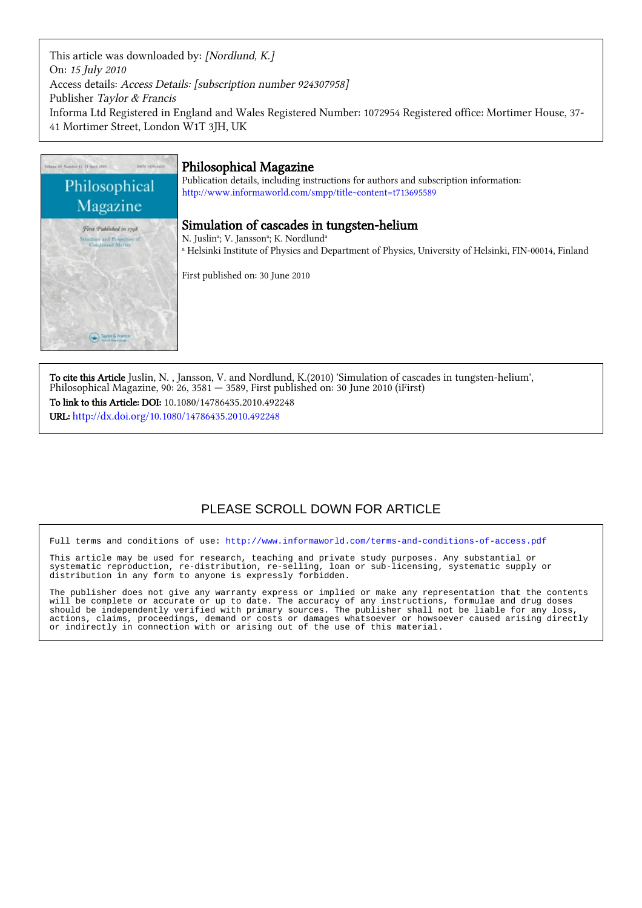This article was downloaded by: [Nordlund, K.] On: 15 July 2010 Access details: Access Details: [subscription number 924307958] Publisher Taylor & Francis Informa Ltd Registered in England and Wales Registered Number: 1072954 Registered office: Mortimer House, 37- 41 Mortimer Street, London W1T 3JH, UK



To cite this Article Juslin, N. , Jansson, V. and Nordlund, K.(2010) 'Simulation of cascades in tungsten-helium', Philosophical Magazine, 90: 26, 3581 — 3589, First published on: 30 June 2010 (iFirst) To link to this Article: DOI: 10.1080/14786435.2010.492248 URL: <http://dx.doi.org/10.1080/14786435.2010.492248>

# PLEASE SCROLL DOWN FOR ARTICLE

Full terms and conditions of use:<http://www.informaworld.com/terms-and-conditions-of-access.pdf>

This article may be used for research, teaching and private study purposes. Any substantial or systematic reproduction, re-distribution, re-selling, loan or sub-licensing, systematic supply or distribution in any form to anyone is expressly forbidden.

The publisher does not give any warranty express or implied or make any representation that the contents will be complete or accurate or up to date. The accuracy of any instructions, formulae and drug doses should be independently verified with primary sources. The publisher shall not be liable for any loss, actions, claims, proceedings, demand or costs or damages whatsoever or howsoever caused arising directly or indirectly in connection with or arising out of the use of this material.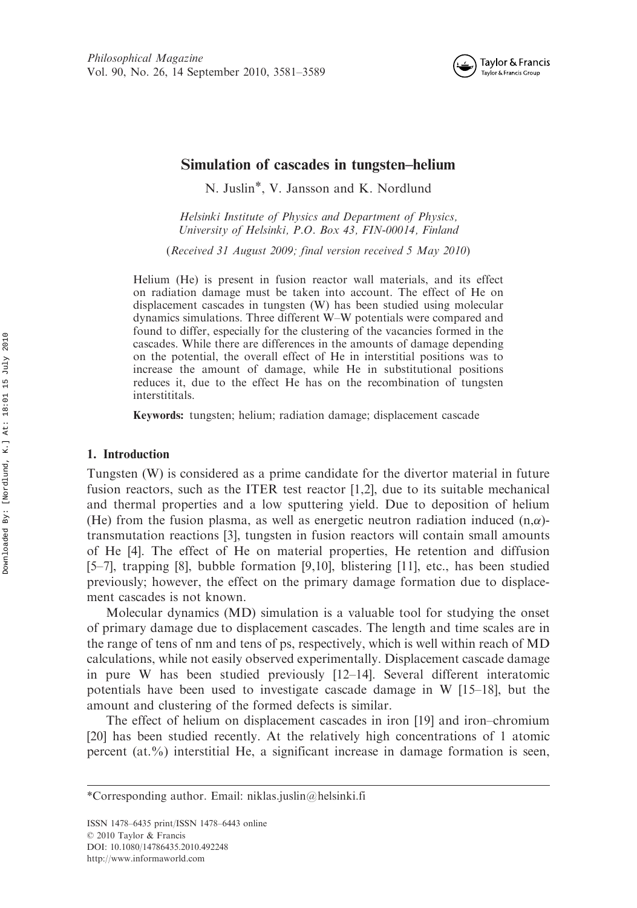

# Simulation of cascades in tungsten–helium

N. Juslin\*, V. Jansson and K. Nordlund

Helsinki Institute of Physics and Department of Physics, University of Helsinki, P.O. Box 43, FIN-00014, Finland

(Received 31 August 2009; final version received 5 May 2010)

Helium (He) is present in fusion reactor wall materials, and its effect on radiation damage must be taken into account. The effect of He on displacement cascades in tungsten (W) has been studied using molecular dynamics simulations. Three different W–W potentials were compared and found to differ, especially for the clustering of the vacancies formed in the cascades. While there are differences in the amounts of damage depending on the potential, the overall effect of He in interstitial positions was to increase the amount of damage, while He in substitutional positions reduces it, due to the effect He has on the recombination of tungsten interstititals.

Keywords: tungsten; helium; radiation damage; displacement cascade

#### 1. Introduction

Tungsten (W) is considered as a prime candidate for the divertor material in future fusion reactors, such as the ITER test reactor [1,2], due to its suitable mechanical and thermal properties and a low sputtering yield. Due to deposition of helium (He) from the fusion plasma, as well as energetic neutron radiation induced  $(n,\alpha)$ transmutation reactions [3], tungsten in fusion reactors will contain small amounts of He [4]. The effect of He on material properties, He retention and diffusion [5–7], trapping [8], bubble formation [9,10], blistering [11], etc., has been studied previously; however, the effect on the primary damage formation due to displacement cascades is not known.

Molecular dynamics (MD) simulation is a valuable tool for studying the onset of primary damage due to displacement cascades. The length and time scales are in the range of tens of nm and tens of ps, respectively, which is well within reach of MD calculations, while not easily observed experimentally. Displacement cascade damage in pure W has been studied previously [12–14]. Several different interatomic potentials have been used to investigate cascade damage in W [15–18], but the amount and clustering of the formed defects is similar.

The effect of helium on displacement cascades in iron [19] and iron–chromium [20] has been studied recently. At the relatively high concentrations of 1 atomic percent (at.%) interstitial He, a significant increase in damage formation is seen,

<sup>\*</sup>Corresponding author. Email: niklas.juslin@helsinki.fi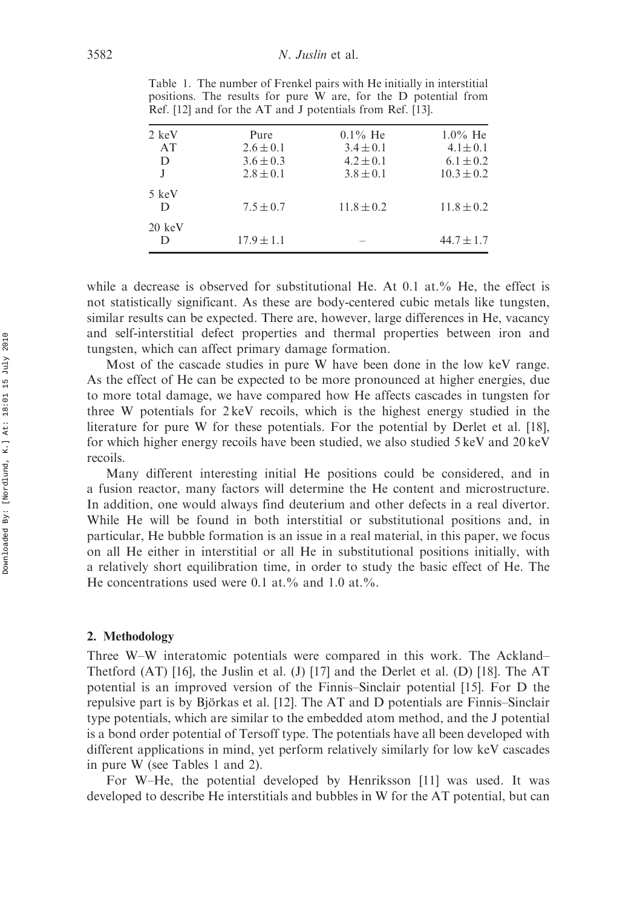| 2 keV            | Pure           | $0.1\%$ He     | $1.0\%$ He     |
|------------------|----------------|----------------|----------------|
| AT               | $2.6 \pm 0.1$  | $3.4 \pm 0.1$  | $4.1 \pm 0.1$  |
| D                | $3.6 \pm 0.3$  | $4.2 \pm 0.1$  | $6.1 \pm 0.2$  |
|                  | $2.8 \pm 0.1$  | $3.8 \pm 0.1$  | $10.3 \pm 0.2$ |
| 5 keV            |                |                |                |
| D                | $7.5 \pm 0.7$  | $11.8 \pm 0.2$ | $11.8 \pm 0.2$ |
| $20 \text{ keV}$ |                |                |                |
| D                | $17.9 \pm 1.1$ |                | $44.7 \pm 1.7$ |
|                  |                |                |                |

Table 1. The number of Frenkel pairs with He initially in interstitial positions. The results for pure W are, for the D potential from Ref. [12] and for the AT and J potentials from Ref. [13].

while a decrease is observed for substitutional He. At  $0.1$  at.% He, the effect is not statistically significant. As these are body-centered cubic metals like tungsten, similar results can be expected. There are, however, large differences in He, vacancy and self-interstitial defect properties and thermal properties between iron and tungsten, which can affect primary damage formation.

Most of the cascade studies in pure W have been done in the low keV range. As the effect of He can be expected to be more pronounced at higher energies, due to more total damage, we have compared how He affects cascades in tungsten for three W potentials for 2 keV recoils, which is the highest energy studied in the literature for pure W for these potentials. For the potential by Derlet et al. [18], for which higher energy recoils have been studied, we also studied 5 keV and 20 keV recoils.

Many different interesting initial He positions could be considered, and in a fusion reactor, many factors will determine the He content and microstructure. In addition, one would always find deuterium and other defects in a real divertor. While He will be found in both interstitial or substitutional positions and, in particular, He bubble formation is an issue in a real material, in this paper, we focus on all He either in interstitial or all He in substitutional positions initially, with a relatively short equilibration time, in order to study the basic effect of He. The He concentrations used were 0.1 at.% and 1.0 at.%.

### 2. Methodology

Three W–W interatomic potentials were compared in this work. The Ackland– Thetford (AT) [16], the Juslin et al. (J) [17] and the Derlet et al. (D) [18]. The AT potential is an improved version of the Finnis–Sinclair potential [15]. For D the repulsive part is by Björkas et al. [12]. The AT and D potentials are Finnis–Sinclair type potentials, which are similar to the embedded atom method, and the J potential is a bond order potential of Tersoff type. The potentials have all been developed with different applications in mind, yet perform relatively similarly for low keV cascades in pure W (see Tables 1 and 2).

For W–He, the potential developed by Henriksson [11] was used. It was developed to describe He interstitials and bubbles in W for the AT potential, but can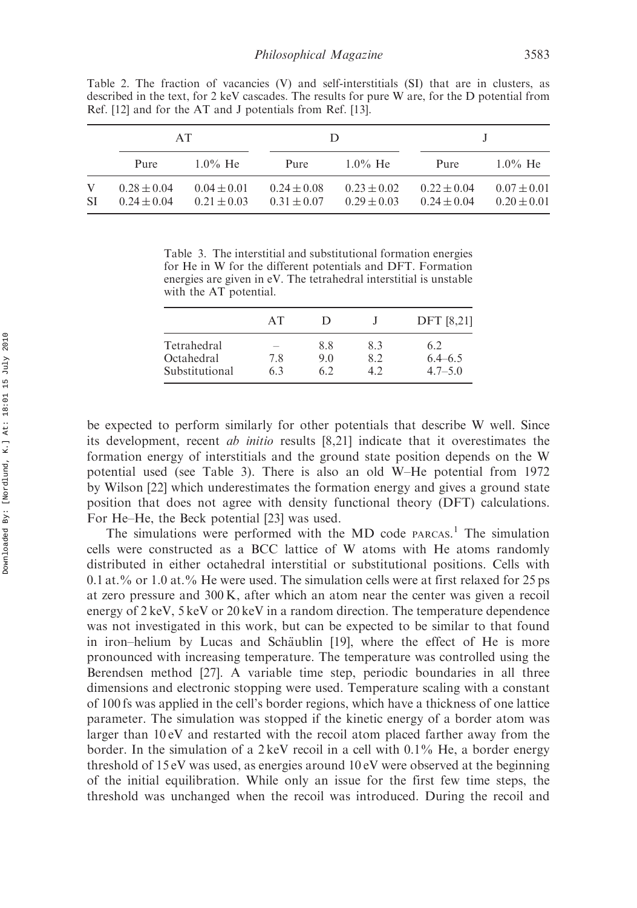|                | AT                                 |                                    |                                    | Ð                                  |                                    |                                    |
|----------------|------------------------------------|------------------------------------|------------------------------------|------------------------------------|------------------------------------|------------------------------------|
|                | Pure                               | $1.0\%$ He                         | Pure                               | $1.0\%$ He                         | Pure                               | $1.0\%$ He                         |
| V<br><b>SI</b> | $0.28 \pm 0.04$<br>$0.24 \pm 0.04$ | $0.04 \pm 0.01$<br>$0.21 \pm 0.03$ | $0.24 \pm 0.08$<br>$0.31 \pm 0.07$ | $0.23 \pm 0.02$<br>$0.29 \pm 0.03$ | $0.22 \pm 0.04$<br>$0.24 \pm 0.04$ | $0.07 \pm 0.01$<br>$0.20 \pm 0.01$ |

Table 2. The fraction of vacancies (V) and self-interstitials (SI) that are in clusters, as described in the text, for 2 keV cascades. The results for pure W are, for the D potential from Ref. [12] and for the AT and J potentials from Ref. [13].

Table 3. The interstitial and substitutional formation energies for He in W for the different potentials and DFT. Formation energies are given in eV. The tetrahedral interstitial is unstable with the AT potential.

|                                             | AТ                                     |                   |            | <b>DFT</b> [8,21]                 |
|---------------------------------------------|----------------------------------------|-------------------|------------|-----------------------------------|
| Tetrahedral<br>Octahedral<br>Substitutional | $\overline{\phantom{a}}$<br>7.8<br>6.3 | 8.8<br>9.0<br>6.2 | 8.3<br>8.2 | 6.2<br>$6.4 - 6.5$<br>$4.7 - 5.0$ |

be expected to perform similarly for other potentials that describe W well. Since its development, recent ab initio results [8,21] indicate that it overestimates the formation energy of interstitials and the ground state position depends on the W potential used (see Table 3). There is also an old W–He potential from 1972 by Wilson [22] which underestimates the formation energy and gives a ground state position that does not agree with density functional theory (DFT) calculations. For He–He, the Beck potential [23] was used.

The simulations were performed with the MD code PARCAS.<sup>1</sup> The simulation cells were constructed as a BCC lattice of W atoms with He atoms randomly distributed in either octahedral interstitial or substitutional positions. Cells with 0.1 at.% or 1.0 at.% He were used. The simulation cells were at first relaxed for 25 ps at zero pressure and 300 K, after which an atom near the center was given a recoil energy of 2 keV, 5 keV or 20 keV in a random direction. The temperature dependence was not investigated in this work, but can be expected to be similar to that found in iron–helium by Lucas and Schäublin [19], where the effect of He is more pronounced with increasing temperature. The temperature was controlled using the Berendsen method [27]. A variable time step, periodic boundaries in all three dimensions and electronic stopping were used. Temperature scaling with a constant of 100 fs was applied in the cell's border regions, which have a thickness of one lattice parameter. The simulation was stopped if the kinetic energy of a border atom was larger than 10 eV and restarted with the recoil atom placed farther away from the border. In the simulation of a  $2 \text{ keV}$  recoil in a cell with  $0.1\%$  He, a border energy threshold of 15 eV was used, as energies around 10 eV were observed at the beginning of the initial equilibration. While only an issue for the first few time steps, the threshold was unchanged when the recoil was introduced. During the recoil and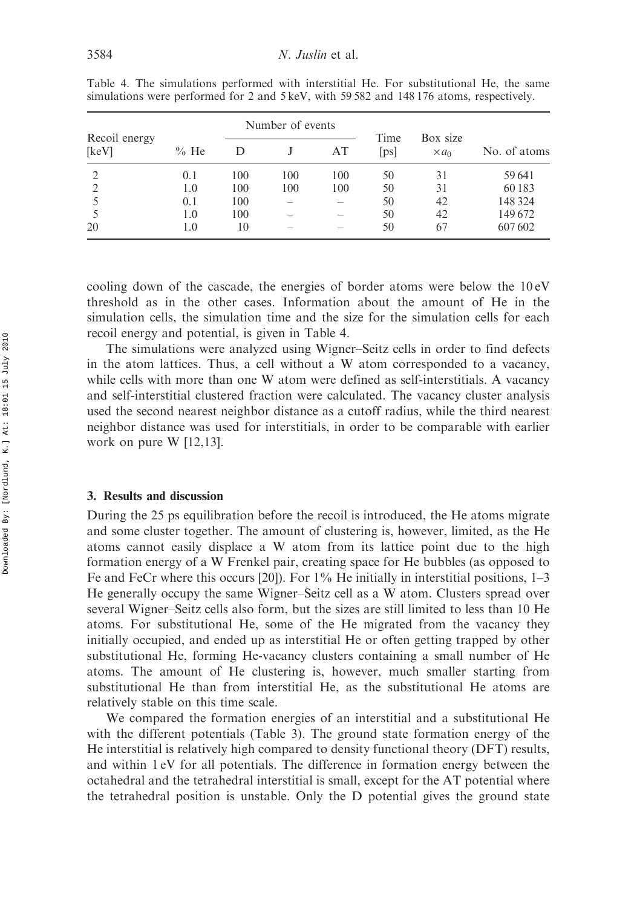|                        | Number of events |     |     |                          |              |                          |              |
|------------------------|------------------|-----|-----|--------------------------|--------------|--------------------------|--------------|
| Recoil energy<br>[keV] | $%$ He           | D   |     | AT                       | Time<br>[ps] | Box size<br>$\times a_0$ | No. of atoms |
| ∍                      | 0.1              | 100 | 100 | 100                      | 50           | 31                       | 59 641       |
|                        | 1.0              | 100 | 100 | 100                      | 50           | 31                       | 60183        |
|                        | 0.1              | 100 |     |                          | 50           | 42                       | 148 324      |
|                        | 1.0              | 100 |     | $\overline{\phantom{a}}$ | 50           | 42                       | 149672       |
| 20                     | 1.0              | 10  |     |                          | 50           | 67                       | 607602       |

Table 4. The simulations performed with interstitial He. For substitutional He, the same simulations were performed for 2 and 5 keV, with 59 582 and 148 176 atoms, respectively.

cooling down of the cascade, the energies of border atoms were below the 10 eV threshold as in the other cases. Information about the amount of He in the simulation cells, the simulation time and the size for the simulation cells for each recoil energy and potential, is given in Table 4.

The simulations were analyzed using Wigner–Seitz cells in order to find defects in the atom lattices. Thus, a cell without a W atom corresponded to a vacancy, while cells with more than one W atom were defined as self-interstitials. A vacancy and self-interstitial clustered fraction were calculated. The vacancy cluster analysis used the second nearest neighbor distance as a cutoff radius, while the third nearest neighbor distance was used for interstitials, in order to be comparable with earlier work on pure W [12,13].

## 3. Results and discussion

During the 25 ps equilibration before the recoil is introduced, the He atoms migrate and some cluster together. The amount of clustering is, however, limited, as the He atoms cannot easily displace a W atom from its lattice point due to the high formation energy of a W Frenkel pair, creating space for He bubbles (as opposed to Fe and FeCr where this occurs [20]). For 1% He initially in interstitial positions, 1–3 He generally occupy the same Wigner–Seitz cell as a W atom. Clusters spread over several Wigner–Seitz cells also form, but the sizes are still limited to less than 10 He atoms. For substitutional He, some of the He migrated from the vacancy they initially occupied, and ended up as interstitial He or often getting trapped by other substitutional He, forming He-vacancy clusters containing a small number of He atoms. The amount of He clustering is, however, much smaller starting from substitutional He than from interstitial He, as the substitutional He atoms are relatively stable on this time scale.

We compared the formation energies of an interstitial and a substitutional He with the different potentials (Table 3). The ground state formation energy of the He interstitial is relatively high compared to density functional theory (DFT) results, and within 1 eV for all potentials. The difference in formation energy between the octahedral and the tetrahedral interstitial is small, except for the AT potential where the tetrahedral position is unstable. Only the D potential gives the ground state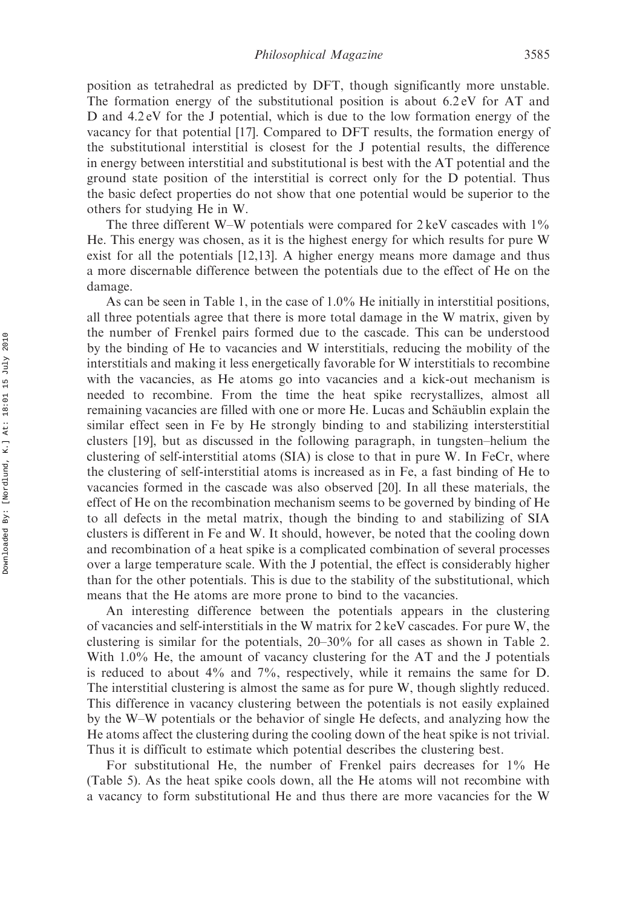position as tetrahedral as predicted by DFT, though significantly more unstable. The formation energy of the substitutional position is about 6.2 eV for AT and D and 4.2 eV for the J potential, which is due to the low formation energy of the vacancy for that potential [17]. Compared to DFT results, the formation energy of the substitutional interstitial is closest for the J potential results, the difference in energy between interstitial and substitutional is best with the AT potential and the ground state position of the interstitial is correct only for the D potential. Thus the basic defect properties do not show that one potential would be superior to the others for studying He in W.

The three different W–W potentials were compared for  $2 \text{ keV}$  cascades with  $1\%$ He. This energy was chosen, as it is the highest energy for which results for pure W exist for all the potentials [12,13]. A higher energy means more damage and thus a more discernable difference between the potentials due to the effect of He on the damage.

As can be seen in Table 1, in the case of 1.0% He initially in interstitial positions, all three potentials agree that there is more total damage in the W matrix, given by the number of Frenkel pairs formed due to the cascade. This can be understood by the binding of He to vacancies and W interstitials, reducing the mobility of the interstitials and making it less energetically favorable for W interstitials to recombine with the vacancies, as He atoms go into vacancies and a kick-out mechanism is needed to recombine. From the time the heat spike recrystallizes, almost all remaining vacancies are filled with one or more He. Lucas and Schäublin explain the similar effect seen in Fe by He strongly binding to and stabilizing intersterstitial clusters [19], but as discussed in the following paragraph, in tungsten–helium the clustering of self-interstitial atoms (SIA) is close to that in pure W. In FeCr, where the clustering of self-interstitial atoms is increased as in Fe, a fast binding of He to vacancies formed in the cascade was also observed [20]. In all these materials, the effect of He on the recombination mechanism seems to be governed by binding of He to all defects in the metal matrix, though the binding to and stabilizing of SIA clusters is different in Fe and W. It should, however, be noted that the cooling down and recombination of a heat spike is a complicated combination of several processes over a large temperature scale. With the J potential, the effect is considerably higher than for the other potentials. This is due to the stability of the substitutional, which means that the He atoms are more prone to bind to the vacancies.

An interesting difference between the potentials appears in the clustering of vacancies and self-interstitials in the W matrix for 2 keV cascades. For pure W, the clustering is similar for the potentials, 20–30% for all cases as shown in Table 2. With 1.0% He, the amount of vacancy clustering for the AT and the J potentials is reduced to about 4% and 7%, respectively, while it remains the same for D. The interstitial clustering is almost the same as for pure W, though slightly reduced. This difference in vacancy clustering between the potentials is not easily explained by the W–W potentials or the behavior of single He defects, and analyzing how the He atoms affect the clustering during the cooling down of the heat spike is not trivial. Thus it is difficult to estimate which potential describes the clustering best.

For substitutional He, the number of Frenkel pairs decreases for 1% He (Table 5). As the heat spike cools down, all the He atoms will not recombine with a vacancy to form substitutional He and thus there are more vacancies for the W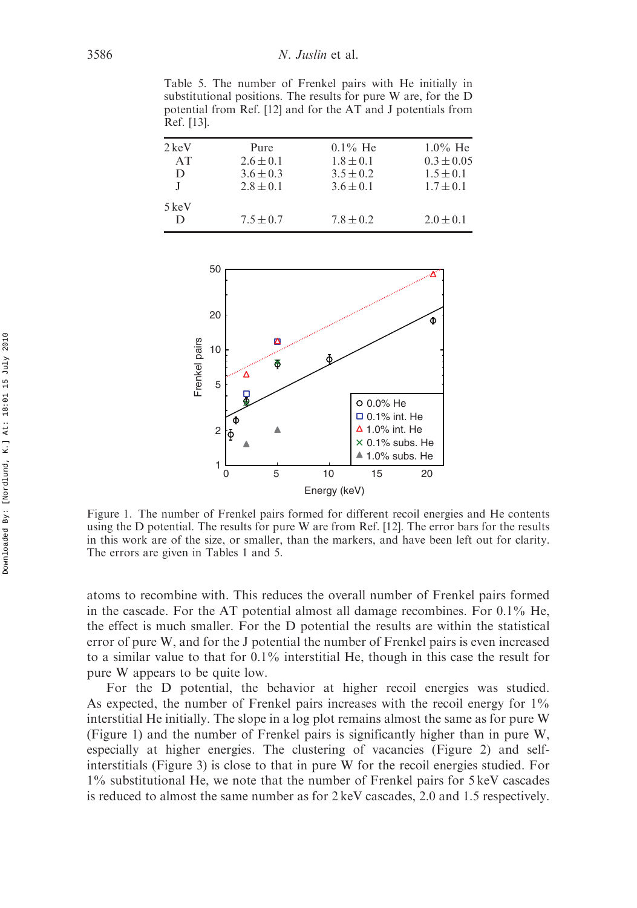Table 5. The number of Frenkel pairs with He initially in substitutional positions. The results for pure W are, for the D potential from Ref. [12] and for the AT and J potentials from Ref. [13].

| $2 \text{ keV}$<br>AT<br>D | Pure<br>$2.6 \pm 0.1$<br>$3.6 \pm 0.3$<br>$2.8 \pm 0.1$ | $0.1\%$ He<br>$1.8 \pm 0.1$<br>$3.5 \pm 0.2$<br>$3.6 \pm 0.1$ | $1.0\%$ He<br>$0.3 \pm 0.05$<br>$1.5 \pm 0.1$<br>$1.7 \pm 0.1$ |
|----------------------------|---------------------------------------------------------|---------------------------------------------------------------|----------------------------------------------------------------|
| 5 keV<br>D                 | $7.5 \pm 0.7$                                           | $7.8 \pm 0.2$                                                 | $2.0 \pm 0.1$                                                  |



Figure 1. The number of Frenkel pairs formed for different recoil energies and He contents using the D potential. The results for pure W are from Ref. [12]. The error bars for the results in this work are of the size, or smaller, than the markers, and have been left out for clarity. The errors are given in Tables 1 and 5.

atoms to recombine with. This reduces the overall number of Frenkel pairs formed in the cascade. For the AT potential almost all damage recombines. For 0.1% He, the effect is much smaller. For the D potential the results are within the statistical error of pure W, and for the J potential the number of Frenkel pairs is even increased to a similar value to that for  $0.1\%$  interstitial He, though in this case the result for pure W appears to be quite low.

For the D potential, the behavior at higher recoil energies was studied. As expected, the number of Frenkel pairs increases with the recoil energy for 1% interstitial He initially. The slope in a log plot remains almost the same as for pure W (Figure 1) and the number of Frenkel pairs is significantly higher than in pure W, especially at higher energies. The clustering of vacancies (Figure 2) and selfinterstitials (Figure 3) is close to that in pure W for the recoil energies studied. For 1% substitutional He, we note that the number of Frenkel pairs for 5 keV cascades is reduced to almost the same number as for 2 keV cascades, 2.0 and 1.5 respectively.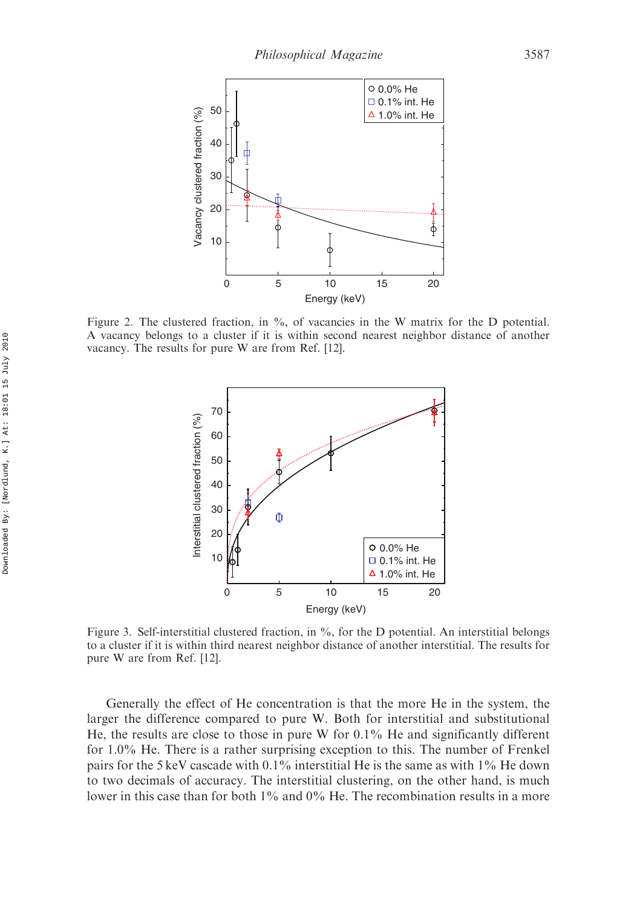

Figure 2. The clustered fraction, in %, of vacancies in the W matrix for the D potential. A vacancy belongs to a cluster if it is within second nearest neighbor distance of another vacancy. The results for pure W are from Ref. [12].



Figure 3. Self-interstitial clustered fraction, in %, for the D potential. An interstitial belongs to a cluster if it is within third nearest neighbor distance of another interstitial. The results for pure W are from Ref. [12].

Generally the effect of He concentration is that the more He in the system, the larger the difference compared to pure W. Both for interstitial and substitutional He, the results are close to those in pure W for 0.1% He and significantly different for 1.0% He. There is a rather surprising exception to this. The number of Frenkel pairs for the 5 keV cascade with 0.1% interstitial He is the same as with 1% He down to two decimals of accuracy. The interstitial clustering, on the other hand, is much lower in this case than for both 1% and 0% He. The recombination results in a more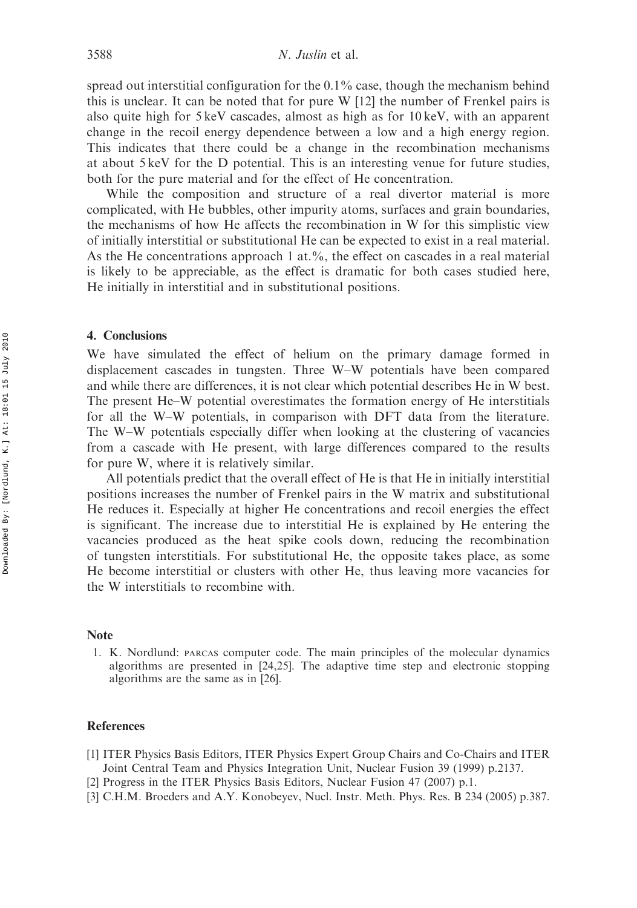spread out interstitial configuration for the 0.1% case, though the mechanism behind this is unclear. It can be noted that for pure W [12] the number of Frenkel pairs is also quite high for 5 keV cascades, almost as high as for 10 keV, with an apparent change in the recoil energy dependence between a low and a high energy region. This indicates that there could be a change in the recombination mechanisms at about 5 keV for the D potential. This is an interesting venue for future studies, both for the pure material and for the effect of He concentration.

While the composition and structure of a real divertor material is more complicated, with He bubbles, other impurity atoms, surfaces and grain boundaries, the mechanisms of how He affects the recombination in W for this simplistic view of initially interstitial or substitutional He can be expected to exist in a real material. As the He concentrations approach 1 at.%, the effect on cascades in a real material is likely to be appreciable, as the effect is dramatic for both cases studied here, He initially in interstitial and in substitutional positions.

#### 4. Conclusions

We have simulated the effect of helium on the primary damage formed in displacement cascades in tungsten. Three W–W potentials have been compared and while there are differences, it is not clear which potential describes He in W best. The present He–W potential overestimates the formation energy of He interstitials for all the W–W potentials, in comparison with DFT data from the literature. The W–W potentials especially differ when looking at the clustering of vacancies from a cascade with He present, with large differences compared to the results for pure W, where it is relatively similar.

All potentials predict that the overall effect of He is that He in initially interstitial positions increases the number of Frenkel pairs in the W matrix and substitutional He reduces it. Especially at higher He concentrations and recoil energies the effect is significant. The increase due to interstitial He is explained by He entering the vacancies produced as the heat spike cools down, reducing the recombination of tungsten interstitials. For substitutional He, the opposite takes place, as some He become interstitial or clusters with other He, thus leaving more vacancies for the W interstitials to recombine with.

# Note

1. K. Nordlund: PARCAS computer code. The main principles of the molecular dynamics algorithms are presented in [24,25]. The adaptive time step and electronic stopping algorithms are the same as in [26].

#### References

- [1] ITER Physics Basis Editors, ITER Physics Expert Group Chairs and Co-Chairs and ITER Joint Central Team and Physics Integration Unit, Nuclear Fusion 39 (1999) p.2137.
- [2] Progress in the ITER Physics Basis Editors, Nuclear Fusion 47 (2007) p.1.
- [3] C.H.M. Broeders and A.Y. Konobeyev, Nucl. Instr. Meth. Phys. Res. B 234 (2005) p.387.